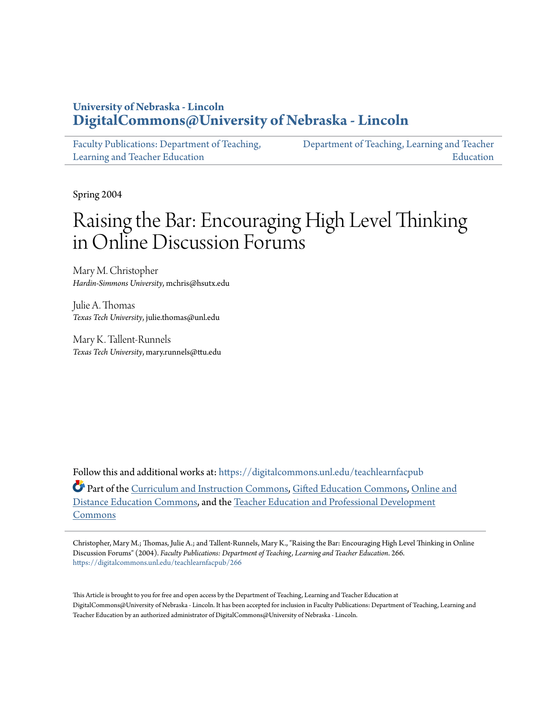# **University of Nebraska - Lincoln [DigitalCommons@University of Nebraska - Lincoln](https://digitalcommons.unl.edu?utm_source=digitalcommons.unl.edu%2Fteachlearnfacpub%2F266&utm_medium=PDF&utm_campaign=PDFCoverPages)**

| Faculty Publications: Department of Teaching, | Department of Teaching, Learning and Teacher |
|-----------------------------------------------|----------------------------------------------|
| Learning and Teacher Education                | Education                                    |

Spring 2004

# Raising the Bar: Encouraging High Level Thinking in Online Discussion Forums

Mary M. Christopher *Hardin-Simmons University*, mchris@hsutx.edu

Julie A. Thomas *Texas Tech University*, julie.thomas@unl.edu

Mary K. Tallent-Runnels *Texas Tech University*, mary.runnels@ttu.edu

Follow this and additional works at: [https://digitalcommons.unl.edu/teachlearnfacpub](https://digitalcommons.unl.edu/teachlearnfacpub?utm_source=digitalcommons.unl.edu%2Fteachlearnfacpub%2F266&utm_medium=PDF&utm_campaign=PDFCoverPages) Part of the [Curriculum and Instruction Commons](http://network.bepress.com/hgg/discipline/786?utm_source=digitalcommons.unl.edu%2Fteachlearnfacpub%2F266&utm_medium=PDF&utm_campaign=PDFCoverPages), [Gifted Education Commons](http://network.bepress.com/hgg/discipline/1048?utm_source=digitalcommons.unl.edu%2Fteachlearnfacpub%2F266&utm_medium=PDF&utm_campaign=PDFCoverPages), [Online and](http://network.bepress.com/hgg/discipline/1296?utm_source=digitalcommons.unl.edu%2Fteachlearnfacpub%2F266&utm_medium=PDF&utm_campaign=PDFCoverPages) [Distance Education Commons](http://network.bepress.com/hgg/discipline/1296?utm_source=digitalcommons.unl.edu%2Fteachlearnfacpub%2F266&utm_medium=PDF&utm_campaign=PDFCoverPages), and the [Teacher Education and Professional Development](http://network.bepress.com/hgg/discipline/803?utm_source=digitalcommons.unl.edu%2Fteachlearnfacpub%2F266&utm_medium=PDF&utm_campaign=PDFCoverPages) [Commons](http://network.bepress.com/hgg/discipline/803?utm_source=digitalcommons.unl.edu%2Fteachlearnfacpub%2F266&utm_medium=PDF&utm_campaign=PDFCoverPages)

Christopher, Mary M.; Thomas, Julie A.; and Tallent-Runnels, Mary K., "Raising the Bar: Encouraging High Level Thinking in Online Discussion Forums" (2004). *Faculty Publications: Department of Teaching, Learning and Teacher Education*. 266. [https://digitalcommons.unl.edu/teachlearnfacpub/266](https://digitalcommons.unl.edu/teachlearnfacpub/266?utm_source=digitalcommons.unl.edu%2Fteachlearnfacpub%2F266&utm_medium=PDF&utm_campaign=PDFCoverPages)

This Article is brought to you for free and open access by the Department of Teaching, Learning and Teacher Education at DigitalCommons@University of Nebraska - Lincoln. It has been accepted for inclusion in Faculty Publications: Department of Teaching, Learning and Teacher Education by an authorized administrator of DigitalCommons@University of Nebraska - Lincoln.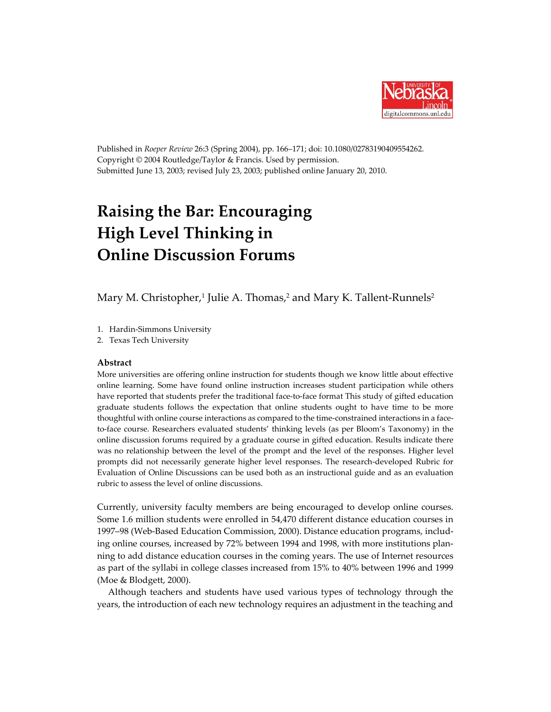

Published in *Roeper Review* 26:3 (Spring 2004), pp. 166–171; doi: 10.1080/02783190409554262. Copyright © 2004 Routledge/Taylor & Francis. Used by permission. Submitted June 13, 2003; revised July 23, 2003; published online January 20, 2010.

# **Raising the Bar: Encouraging High Level Thinking in Online Discussion Forums**

Mary M. Christopher, <sup>1</sup> Julie A. Thomas, <sup>2</sup> and Mary K. Tallent-Runnels2

- 1. Hardin-Simmons University
- 2. Texas Tech University

#### **Abstract**

More universities are offering online instruction for students though we know little about effective online learning. Some have found online instruction increases student participation while others have reported that students prefer the traditional face-to-face format This study of gifted education graduate students follows the expectation that online students ought to have time to be more thoughtful with online course interactions as compared to the time-constrained interactions in a faceto-face course. Researchers evaluated students' thinking levels (as per Bloom's Taxonomy) in the online discussion forums required by a graduate course in gifted education. Results indicate there was no relationship between the level of the prompt and the level of the responses. Higher level prompts did not necessarily generate higher level responses. The research-developed Rubric for Evaluation of Online Discussions can be used both as an instructional guide and as an evaluation rubric to assess the level of online discussions.

Currently, university faculty members are being encouraged to develop online courses. Some 1.6 million students were enrolled in 54,470 different distance education courses in 1997–98 (Web-Based Education Commission, 2000). Distance education programs, including online courses, increased by 72% between 1994 and 1998, with more institutions planning to add distance education courses in the coming years. The use of Internet resources as part of the syllabi in college classes increased from 15% to 40% between 1996 and 1999 (Moe & Blodgett, 2000).

Although teachers and students have used various types of technology through the years, the introduction of each new technology requires an adjustment in the teaching and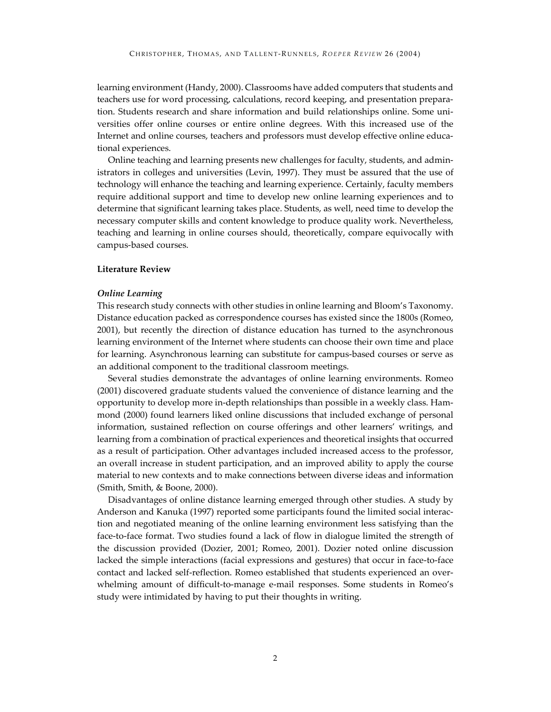learning environment (Handy, 2000). Classrooms have added computers that students and teachers use for word processing, calculations, record keeping, and presentation preparation. Students research and share information and build relationships online. Some universities offer online courses or entire online degrees. With this increased use of the Internet and online courses, teachers and professors must develop effective online educational experiences.

Online teaching and learning presents new challenges for faculty, students, and administrators in colleges and universities (Levin, 1997). They must be assured that the use of technology will enhance the teaching and learning experience. Certainly, faculty members require additional support and time to develop new online learning experiences and to determine that significant learning takes place. Students, as well, need time to develop the necessary computer skills and content knowledge to produce quality work. Nevertheless, teaching and learning in online courses should, theoretically, compare equivocally with campus-based courses.

#### **Literature Review**

#### *Online Learning*

This research study connects with other studies in online learning and Bloom's Taxonomy. Distance education packed as correspondence courses has existed since the 1800s (Romeo, 2001), but recently the direction of distance education has turned to the asynchronous learning environment of the Internet where students can choose their own time and place for learning. Asynchronous learning can substitute for campus-based courses or serve as an additional component to the traditional classroom meetings.

Several studies demonstrate the advantages of online learning environments. Romeo (2001) discovered graduate students valued the convenience of distance learning and the opportunity to develop more in-depth relationships than possible in a weekly class. Hammond (2000) found learners liked online discussions that included exchange of personal information, sustained reflection on course offerings and other learners' writings, and learning from a combination of practical experiences and theoretical insights that occurred as a result of participation. Other advantages included increased access to the professor, an overall increase in student participation, and an improved ability to apply the course material to new contexts and to make connections between diverse ideas and information (Smith, Smith, & Boone, 2000).

Disadvantages of online distance learning emerged through other studies. A study by Anderson and Kanuka (1997) reported some participants found the limited social interaction and negotiated meaning of the online learning environment less satisfying than the face-to-face format. Two studies found a lack of flow in dialogue limited the strength of the discussion provided (Dozier, 2001; Romeo, 2001). Dozier noted online discussion lacked the simple interactions (facial expressions and gestures) that occur in face-to-face contact and lacked self-reflection. Romeo established that students experienced an overwhelming amount of difficult-to-manage e-mail responses. Some students in Romeo's study were intimidated by having to put their thoughts in writing.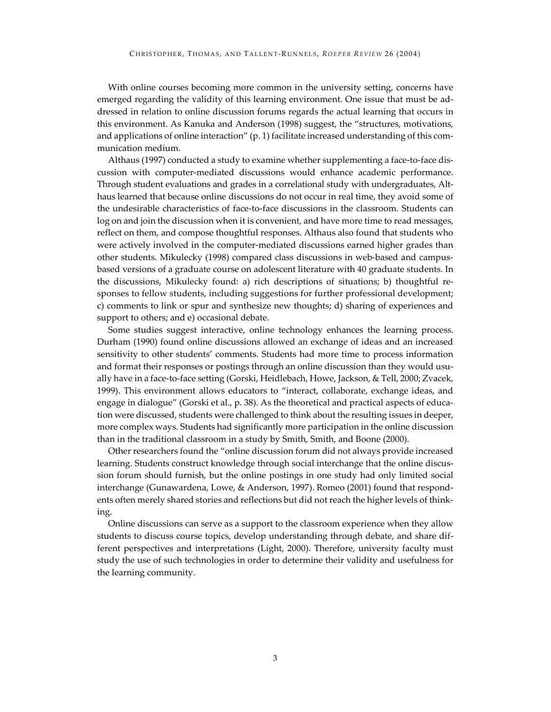With online courses becoming more common in the university setting, concerns have emerged regarding the validity of this learning environment. One issue that must be addressed in relation to online discussion forums regards the actual learning that occurs in this environment. As Kanuka and Anderson (1998) suggest, the "structures, motivations, and applications of online interaction" (p. 1) facilitate increased understanding of this communication medium.

Althaus (1997) conducted a study to examine whether supplementing a face-to-face discussion with computer-mediated discussions would enhance academic performance. Through student evaluations and grades in a correlational study with undergraduates, Althaus learned that because online discussions do not occur in real time, they avoid some of the undesirable characteristics of face-to-face discussions in the classroom. Students can log on and join the discussion when it is convenient, and have more time to read messages, reflect on them, and compose thoughtful responses. Althaus also found that students who were actively involved in the computer-mediated discussions earned higher grades than other students. Mikulecky (1998) compared class discussions in web-based and campusbased versions of a graduate course on adolescent literature with 40 graduate students. In the discussions, Mikulecky found: a) rich descriptions of situations; b) thoughtful responses to fellow students, including suggestions for further professional development; c) comments to link or spur and synthesize new thoughts; d) sharing of experiences and support to others; and e) occasional debate.

Some studies suggest interactive, online technology enhances the learning process. Durham (1990) found online discussions allowed an exchange of ideas and an increased sensitivity to other students' comments. Students had more time to process information and format their responses or postings through an online discussion than they would usually have in a face-to-face setting (Gorski, Heidlebach, Howe, Jackson, & Tell, 2000; Zvacek, 1999). This environment allows educators to "interact, collaborate, exchange ideas, and engage in dialogue" (Gorski et al., p. 38). As the theoretical and practical aspects of education were discussed, students were challenged to think about the resulting issues in deeper, more complex ways. Students had significantly more participation in the online discussion than in the traditional classroom in a study by Smith, Smith, and Boone (2000).

Other researchers found the "online discussion forum did not always provide increased learning. Students construct knowledge through social interchange that the online discussion forum should furnish, but the online postings in one study had only limited social interchange (Gunawardena, Lowe, & Anderson, 1997). Romeo (2001) found that respondents often merely shared stories and reflections but did not reach the higher levels of thinking.

Online discussions can serve as a support to the classroom experience when they allow students to discuss course topics, develop understanding through debate, and share different perspectives and interpretations (Light, 2000). Therefore, university faculty must study the use of such technologies in order to determine their validity and usefulness for the learning community.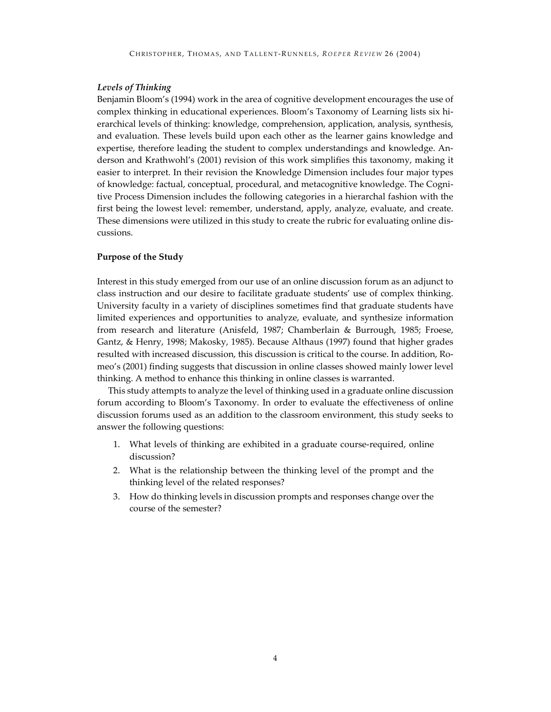#### *Levels of Thinking*

Benjamin Bloom's (1994) work in the area of cognitive development encourages the use of complex thinking in educational experiences. Bloom's Taxonomy of Learning lists six hierarchical levels of thinking: knowledge, comprehension, application, analysis, synthesis, and evaluation. These levels build upon each other as the learner gains knowledge and expertise, therefore leading the student to complex understandings and knowledge. Anderson and Krathwohl's (2001) revision of this work simplifies this taxonomy, making it easier to interpret. In their revision the Knowledge Dimension includes four major types of knowledge: factual, conceptual, procedural, and metacognitive knowledge. The Cognitive Process Dimension includes the following categories in a hierarchal fashion with the first being the lowest level: remember, understand, apply, analyze, evaluate, and create. These dimensions were utilized in this study to create the rubric for evaluating online discussions.

#### **Purpose of the Study**

Interest in this study emerged from our use of an online discussion forum as an adjunct to class instruction and our desire to facilitate graduate students' use of complex thinking. University faculty in a variety of disciplines sometimes find that graduate students have limited experiences and opportunities to analyze, evaluate, and synthesize information from research and literature (Anisfeld, 1987; Chamberlain & Burrough, 1985; Froese, Gantz, & Henry, 1998; Makosky, 1985). Because Althaus (1997) found that higher grades resulted with increased discussion, this discussion is critical to the course. In addition, Romeo's (2001) finding suggests that discussion in online classes showed mainly lower level thinking. A method to enhance this thinking in online classes is warranted.

This study attempts to analyze the level of thinking used in a graduate online discussion forum according to Bloom's Taxonomy. In order to evaluate the effectiveness of online discussion forums used as an addition to the classroom environment, this study seeks to answer the following questions:

- 1. What levels of thinking are exhibited in a graduate course-required, online discussion?
- 2. What is the relationship between the thinking level of the prompt and the thinking level of the related responses?
- 3. How do thinking levels in discussion prompts and responses change over the course of the semester?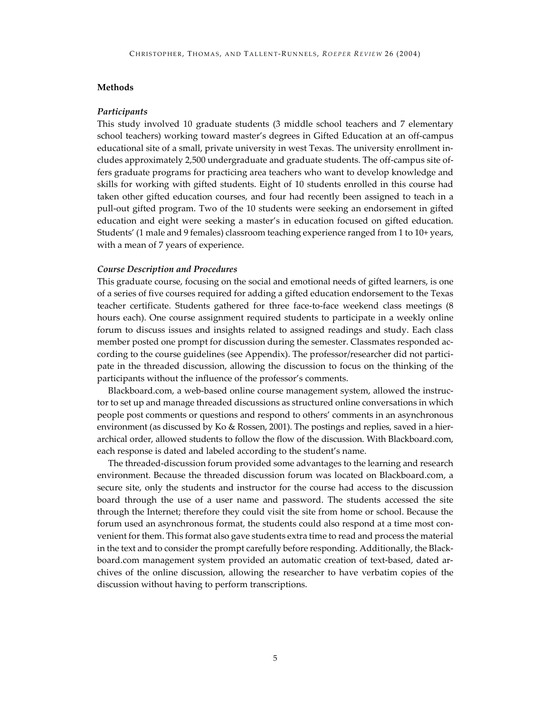#### **Methods**

#### *Participants*

This study involved 10 graduate students (3 middle school teachers and 7 elementary school teachers) working toward master's degrees in Gifted Education at an off-campus educational site of a small, private university in west Texas. The university enrollment includes approximately 2,500 undergraduate and graduate students. The off-campus site offers graduate programs for practicing area teachers who want to develop knowledge and skills for working with gifted students. Eight of 10 students enrolled in this course had taken other gifted education courses, and four had recently been assigned to teach in a pull-out gifted program. Two of the 10 students were seeking an endorsement in gifted education and eight were seeking a master's in education focused on gifted education. Students' (1 male and 9 females) classroom teaching experience ranged from 1 to 10+ years, with a mean of 7 years of experience.

#### *Course Description and Procedures*

This graduate course, focusing on the social and emotional needs of gifted learners, is one of a series of five courses required for adding a gifted education endorsement to the Texas teacher certificate. Students gathered for three face-to-face weekend class meetings (8 hours each). One course assignment required students to participate in a weekly online forum to discuss issues and insights related to assigned readings and study. Each class member posted one prompt for discussion during the semester. Classmates responded according to the course guidelines (see Appendix). The professor/researcher did not participate in the threaded discussion, allowing the discussion to focus on the thinking of the participants without the influence of the professor's comments.

Blackboard.com, a web-based online course management system, allowed the instructor to set up and manage threaded discussions as structured online conversations in which people post comments or questions and respond to others' comments in an asynchronous environment (as discussed by Ko & Rossen, 2001). The postings and replies, saved in a hierarchical order, allowed students to follow the flow of the discussion. With Blackboard.com, each response is dated and labeled according to the student's name.

The threaded-discussion forum provided some advantages to the learning and research environment. Because the threaded discussion forum was located on Blackboard.com, a secure site, only the students and instructor for the course had access to the discussion board through the use of a user name and password. The students accessed the site through the Internet; therefore they could visit the site from home or school. Because the forum used an asynchronous format, the students could also respond at a time most convenient forthem. This format also gave students extra time to read and process the material in the text and to consider the prompt carefully before responding. Additionally, the Blackboard.com management system provided an automatic creation of text-based, dated archives of the online discussion, allowing the researcher to have verbatim copies of the discussion without having to perform transcriptions.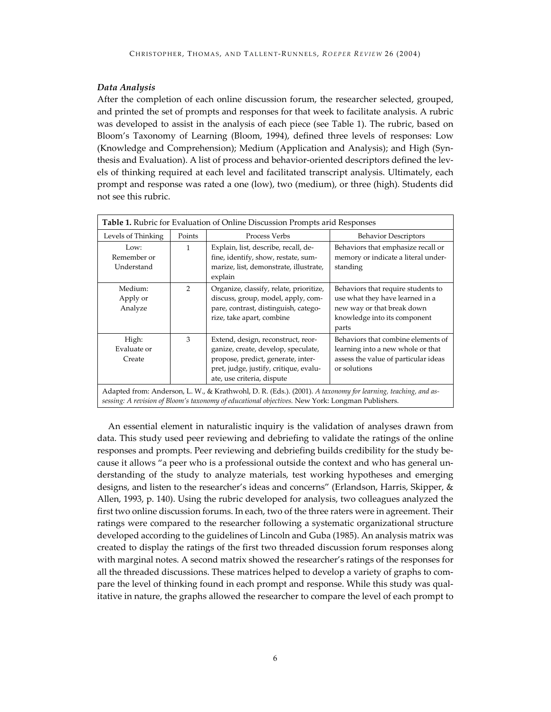### *Data Analysis*

After the completion of each online discussion forum, the researcher selected, grouped, and printed the set of prompts and responses for that week to facilitate analysis. A rubric was developed to assist in the analysis of each piece (see Table 1). The rubric, based on Bloom's Taxonomy of Learning (Bloom, 1994), defined three levels of responses: Low (Knowledge and Comprehension); Medium (Application and Analysis); and High (Synthesis and Evaluation). A list of process and behavior-oriented descriptors defined the levels of thinking required at each level and facilitated transcript analysis. Ultimately, each prompt and response was rated a one (low), two (medium), or three (high). Students did not see this rubric.

| Table 1. Rubric for Evaluation of Online Discussion Prompts arid Responses                                                                                                                                       |               |                                                                                                                                                                                         |                                                                                                                                              |
|------------------------------------------------------------------------------------------------------------------------------------------------------------------------------------------------------------------|---------------|-----------------------------------------------------------------------------------------------------------------------------------------------------------------------------------------|----------------------------------------------------------------------------------------------------------------------------------------------|
| Levels of Thinking                                                                                                                                                                                               | Points        | Process Verbs                                                                                                                                                                           | <b>Behavior Descriptors</b>                                                                                                                  |
| Low:<br>Remember or<br>Understand                                                                                                                                                                                | 1             | Explain, list, describe, recall, de-<br>fine, identify, show, restate, sum-<br>marize, list, demonstrate, illustrate,<br>explain                                                        | Behaviors that emphasize recall or<br>memory or indicate a literal under-<br>standing                                                        |
| Medium:<br>Apply or<br>Analyze                                                                                                                                                                                   | $\mathcal{P}$ | Organize, classify, relate, prioritize,<br>discuss, group, model, apply, com-<br>pare, contrast, distinguish, catego-<br>rize, take apart, combine                                      | Behaviors that require students to<br>use what they have learned in a<br>new way or that break down<br>knowledge into its component<br>parts |
| High:<br>Evaluate or<br>Create                                                                                                                                                                                   | 3             | Extend, design, reconstruct, reor-<br>ganize, create, develop, speculate,<br>propose, predict, generate, inter-<br>pret, judge, justify, critique, evalu-<br>ate, use criteria, dispute | Behaviors that combine elements of<br>learning into a new whole or that<br>assess the value of particular ideas<br>or solutions              |
| Adapted from: Anderson, L. W., & Krathwohl, D. R. (Eds.). (2001). A taxonomy for learning, teaching, and as-<br>sessing: A revision of Bloom's taxonomy of educational objectives. New York: Longman Publishers. |               |                                                                                                                                                                                         |                                                                                                                                              |

An essential element in naturalistic inquiry is the validation of analyses drawn from data. This study used peer reviewing and debriefing to validate the ratings of the online responses and prompts. Peer reviewing and debriefing builds credibility for the study because it allows "a peer who is a professional outside the context and who has general understanding of the study to analyze materials, test working hypotheses and emerging designs, and listen to the researcher's ideas and concerns" (Erlandson, Harris, Skipper, & Allen, 1993, p. 140). Using the rubric developed for analysis, two colleagues analyzed the first two online discussion forums. In each, two of the three raters were in agreement. Their ratings were compared to the researcher following a systematic organizational structure developed according to the guidelines of Lincoln and Guba (1985). An analysis matrix was created to display the ratings of the first two threaded discussion forum responses along with marginal notes. A second matrix showed the researcher's ratings of the responses for all the threaded discussions. These matrices helped to develop a variety of graphs to compare the level of thinking found in each prompt and response. While this study was qualitative in nature, the graphs allowed the researcher to compare the level of each prompt to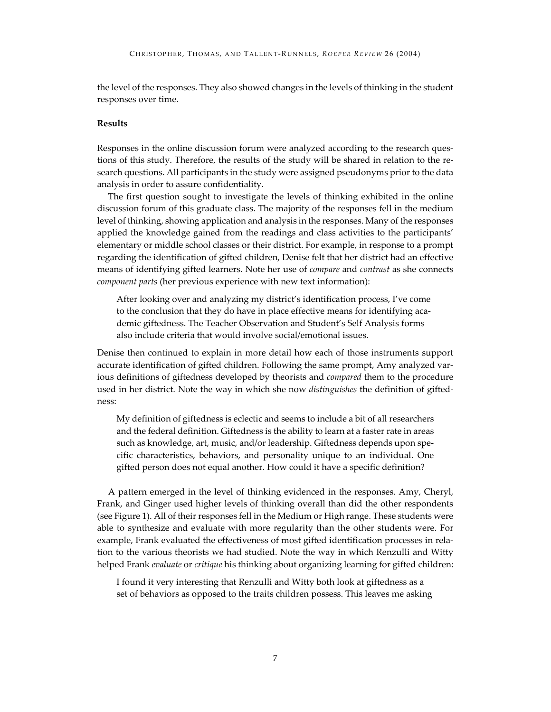the level of the responses. They also showed changes in the levels of thinking in the student responses over time.

## **Results**

Responses in the online discussion forum were analyzed according to the research questions of this study. Therefore, the results of the study will be shared in relation to the research questions. All participants in the study were assigned pseudonyms prior to the data analysis in order to assure confidentiality.

The first question sought to investigate the levels of thinking exhibited in the online discussion forum of this graduate class. The majority of the responses fell in the medium level of thinking, showing application and analysis in the responses. Many of the responses applied the knowledge gained from the readings and class activities to the participants' elementary or middle school classes or their district. For example, in response to a prompt regarding the identification of gifted children, Denise felt that her district had an effective means of identifying gifted learners. Note her use of *compare* and *contrast* as she connects *component parts* (her previous experience with new text information):

After looking over and analyzing my district's identification process, I've come to the conclusion that they do have in place effective means for identifying academic giftedness. The Teacher Observation and Student's Self Analysis forms also include criteria that would involve social/emotional issues.

Denise then continued to explain in more detail how each of those instruments support accurate identification of gifted children. Following the same prompt, Amy analyzed various definitions of giftedness developed by theorists and *compared* them to the procedure used in her district. Note the way in which she now *distinguishes* the definition of giftedness:

My definition of giftedness is eclectic and seems to include a bit of all researchers and the federal definition. Giftedness is the ability to learn at a faster rate in areas such as knowledge, art, music, and/or leadership. Giftedness depends upon specific characteristics, behaviors, and personality unique to an individual. One gifted person does not equal another. How could it have a specific definition?

A pattern emerged in the level of thinking evidenced in the responses. Amy, Cheryl, Frank, and Ginger used higher levels of thinking overall than did the other respondents (see Figure 1). All of their responses fell in the Medium or High range. These students were able to synthesize and evaluate with more regularity than the other students were. For example, Frank evaluated the effectiveness of most gifted identification processes in relation to the various theorists we had studied. Note the way in which Renzulli and Witty helped Frank *evaluate* or *critique* his thinking about organizing learning for gifted children:

I found it very interesting that Renzulli and Witty both look at giftedness as a set of behaviors as opposed to the traits children possess. This leaves me asking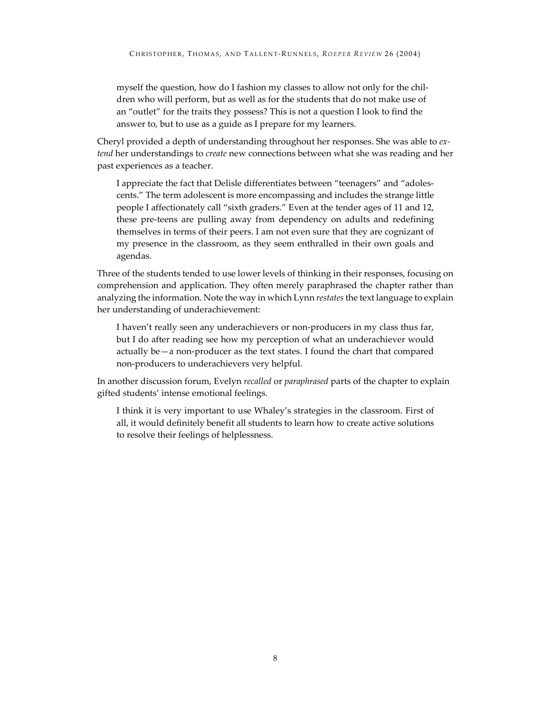myself the question, how do I fashion my classes to allow not only for the children who will perform, but as well as for the students that do not make use of an "outlet" for the traits they possess? This is not a question I look to find the answer to, but to use as a guide as I prepare for my learners.

Cheryl provided a depth of understanding throughout her responses. She was able to *extend* her understandings to *create* new connections between what she was reading and her past experiences as a teacher.

I appreciate the fact that Delisle differentiates between "teenagers" and "adolescents." The term adolescent is more encompassing and includes the strange little people I affectionately call "sixth graders." Even at the tender ages of 11 and 12, these pre-teens are pulling away from dependency on adults and redefining themselves in terms of their peers. I am not even sure that they are cognizant of my presence in the classroom, as they seem enthralled in their own goals and agendas.

Three of the students tended to use lower levels of thinking in their responses, focusing on comprehension and application. They often merely paraphrased the chapter rather than analyzing the information. Note the way in which Lynn *restates* the text language to explain her understanding of underachievement:

I haven't really seen any underachievers or non-producers in my class thus far, but I do after reading see how my perception of what an underachiever would actually be—a non-producer as the text states. I found the chart that compared non-producers to underachievers very helpful.

In another discussion forum, Evelyn *recalled* or *paraphrased* parts of the chapter to explain gifted students' intense emotional feelings.

I think it is very important to use Whaley's strategies in the classroom. First of all, it would definitely benefit all students to learn how to create active solutions to resolve their feelings of helplessness.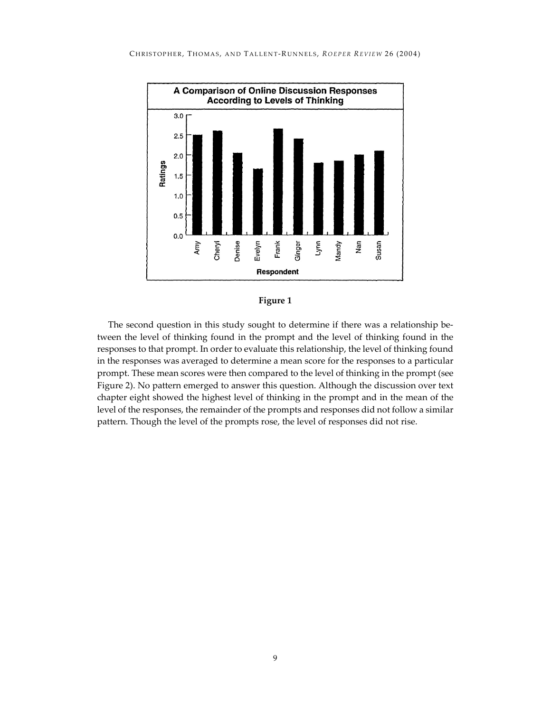

#### **Figure 1**

The second question in this study sought to determine if there was a relationship between the level of thinking found in the prompt and the level of thinking found in the responses to that prompt. In order to evaluate this relationship, the level of thinking found in the responses was averaged to determine a mean score for the responses to a particular prompt. These mean scores were then compared to the level of thinking in the prompt (see Figure 2). No pattern emerged to answer this question. Although the discussion over text chapter eight showed the highest level of thinking in the prompt and in the mean of the level of the responses, the remainder of the prompts and responses did not follow a similar pattern. Though the level of the prompts rose, the level of responses did not rise.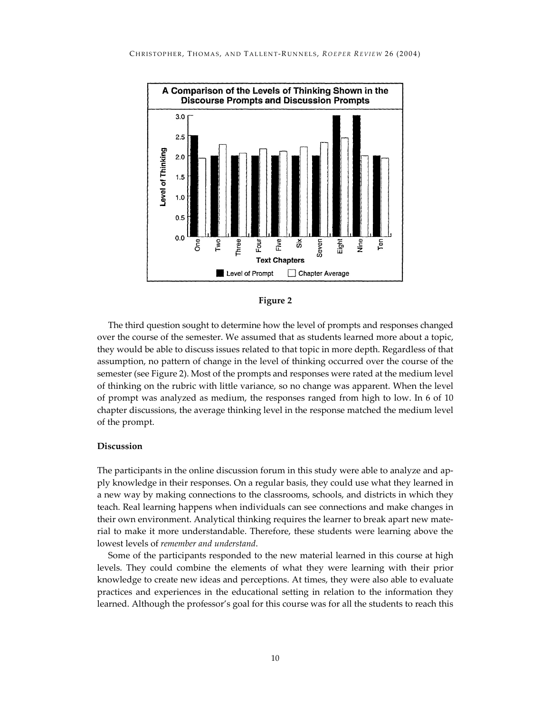



The third question sought to determine how the level of prompts and responses changed over the course of the semester. We assumed that as students learned more about a topic, they would be able to discuss issues related to that topic in more depth. Regardless of that assumption, no pattern of change in the level of thinking occurred over the course of the semester (see Figure 2). Most of the prompts and responses were rated at the medium level of thinking on the rubric with little variance, so no change was apparent. When the level of prompt was analyzed as medium, the responses ranged from high to low. In 6 of 10 chapter discussions, the average thinking level in the response matched the medium level of the prompt.

#### **Discussion**

The participants in the online discussion forum in this study were able to analyze and apply knowledge in their responses. On a regular basis, they could use what they learned in a new way by making connections to the classrooms, schools, and districts in which they teach. Real learning happens when individuals can see connections and make changes in their own environment. Analytical thinking requires the learner to break apart new material to make it more understandable. Therefore, these students were learning above the lowest levels of *remember and understand*.

Some of the participants responded to the new material learned in this course at high levels. They could combine the elements of what they were learning with their prior knowledge to create new ideas and perceptions. At times, they were also able to evaluate practices and experiences in the educational setting in relation to the information they learned. Although the professor's goal for this course was for all the students to reach this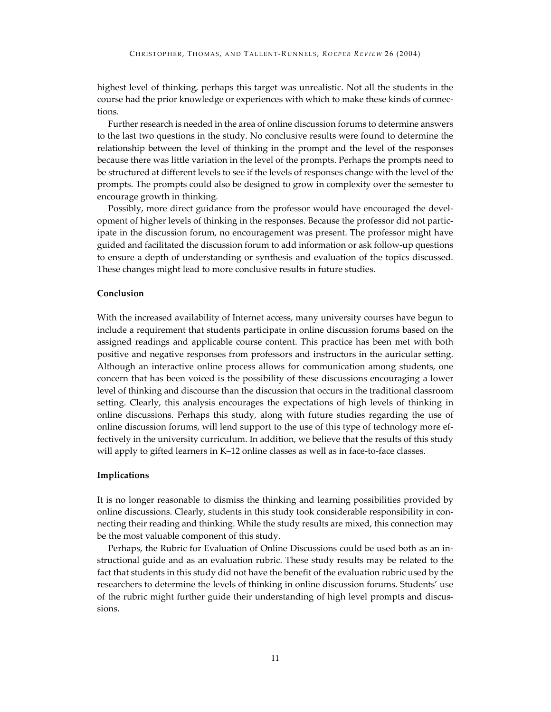highest level of thinking, perhaps this target was unrealistic. Not all the students in the course had the prior knowledge or experiences with which to make these kinds of connections.

Further research is needed in the area of online discussion forums to determine answers to the last two questions in the study. No conclusive results were found to determine the relationship between the level of thinking in the prompt and the level of the responses because there was little variation in the level of the prompts. Perhaps the prompts need to be structured at different levels to see if the levels of responses change with the level of the prompts. The prompts could also be designed to grow in complexity over the semester to encourage growth in thinking.

Possibly, more direct guidance from the professor would have encouraged the development of higher levels of thinking in the responses. Because the professor did not participate in the discussion forum, no encouragement was present. The professor might have guided and facilitated the discussion forum to add information or ask follow-up questions to ensure a depth of understanding or synthesis and evaluation of the topics discussed. These changes might lead to more conclusive results in future studies.

#### **Conclusion**

With the increased availability of Internet access, many university courses have begun to include a requirement that students participate in online discussion forums based on the assigned readings and applicable course content. This practice has been met with both positive and negative responses from professors and instructors in the auricular setting. Although an interactive online process allows for communication among students, one concern that has been voiced is the possibility of these discussions encouraging a lower level of thinking and discourse than the discussion that occurs in the traditional classroom setting. Clearly, this analysis encourages the expectations of high levels of thinking in online discussions. Perhaps this study, along with future studies regarding the use of online discussion forums, will lend support to the use of this type of technology more effectively in the university curriculum. In addition, we believe that the results of this study will apply to gifted learners in K–12 online classes as well as in face-to-face classes.

#### **Implications**

It is no longer reasonable to dismiss the thinking and learning possibilities provided by online discussions. Clearly, students in this study took considerable responsibility in connecting their reading and thinking. While the study results are mixed, this connection may be the most valuable component of this study.

Perhaps, the Rubric for Evaluation of Online Discussions could be used both as an instructional guide and as an evaluation rubric. These study results may be related to the fact that students in this study did not have the benefit of the evaluation rubric used by the researchers to determine the levels of thinking in online discussion forums. Students' use of the rubric might further guide their understanding of high level prompts and discussions.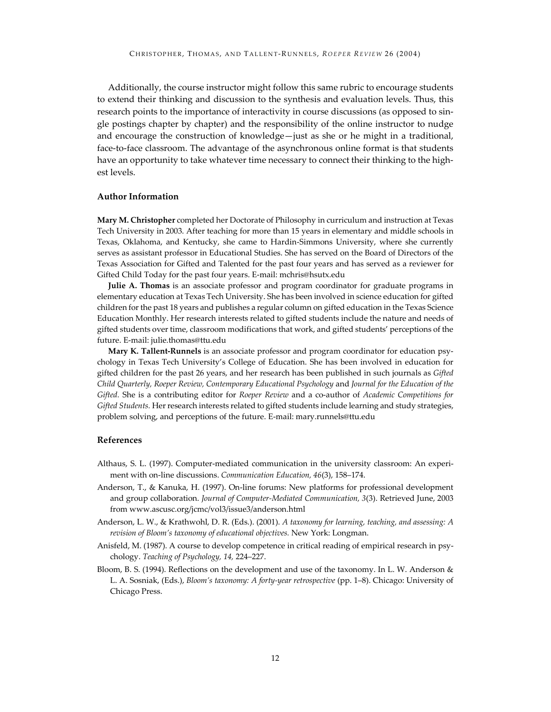Additionally, the course instructor might follow this same rubric to encourage students to extend their thinking and discussion to the synthesis and evaluation levels. Thus, this research points to the importance of interactivity in course discussions (as opposed to single postings chapter by chapter) and the responsibility of the online instructor to nudge and encourage the construction of knowledge—just as she or he might in a traditional, face-to-face classroom. The advantage of the asynchronous online format is that students have an opportunity to take whatever time necessary to connect their thinking to the highest levels.

#### **Author Information**

**Mary M. Christopher** completed her Doctorate of Philosophy in curriculum and instruction at Texas Tech University in 2003. After teaching for more than 15 years in elementary and middle schools in Texas, Oklahoma, and Kentucky, she came to Hardin-Simmons University, where she currently serves as assistant professor in Educational Studies. She has served on the Board of Directors of the Texas Association for Gifted and Talented for the past four years and has served as a reviewer for Gifted Child Today for the past four years. E-mail: mchris@hsutx.edu

**Julie A. Thomas** is an associate professor and program coordinator for graduate programs in elementary education at Texas Tech University. She has been involved in science education for gifted children for the past 18 years and publishes a regular column on gifted education in the Texas Science Education Monthly. Her research interests related to gifted students include the nature and needs of gifted students over time, classroom modifications that work, and gifted students' perceptions of the future. E-mail: julie.thomas@ttu.edu

**Mary K. Tallent-Runnels** is an associate professor and program coordinator for education psychology in Texas Tech University's College of Education. She has been involved in education for gifted children for the past 26 years, and her research has been published in such journals as *Gifted Child Quarterly, Roeper Review, Contemporary Educational Psychology* and *Journal for the Education of the Gifted.* She is a contributing editor for *Roeper Review* and a co-author of *Academic Competitions for Gifted Students.* Her research interests related to gifted students include learning and study strategies, problem solving, and perceptions of the future. E-mail: mary.runnels@ttu.edu

## **References**

- Althaus, S. L. (1997). Computer-mediated communication in the university classroom: An experiment with on-line discussions. *Communication Education, 46*(3), 158–174.
- Anderson, T., & Kanuka, H. (1997). On-line forums: New platforms for professional development and group collaboration. *Journal of Computer-Mediated Communication, 3*(3). Retrieved June, 2003 from www.ascusc.org/jcmc/vol3/issue3/anderson.html
- Anderson, L. W., & Krathwohl, D. R. (Eds.). (2001). *A taxonomy for learning, teaching, and assessing: A revision of Bloom's taxonomy of educational objectives.* New York: Longman.
- Anisfeld, M. (1987). A course to develop competence in critical reading of empirical research in psychology. *Teaching of Psychology, 14,* 224–227.
- Bloom, B. S. (1994). Reflections on the development and use of the taxonomy. In L. W. Anderson & L. A. Sosniak, (Eds.), *Bloom's taxonomy: A forty-year retrospective* (pp. 1–8). Chicago: University of Chicago Press.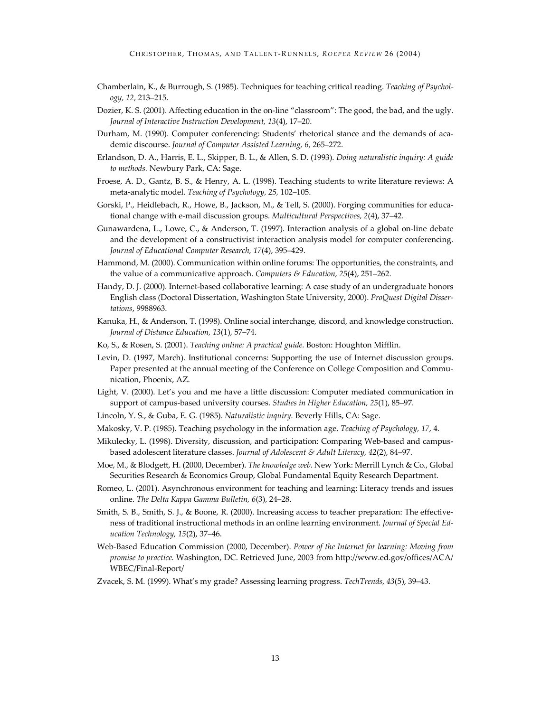- Chamberlain, K., & Burrough, S. (1985). Techniques for teaching critical reading. *Teaching of Psychology, 12,* 213–215.
- Dozier, K. S. (2001). Affecting education in the on-line "classroom": The good, the bad, and the ugly. *Journal of Interactive Instruction Development, 13*(4), 17–20.
- Durham, M. (1990). Computer conferencing: Students' rhetorical stance and the demands of academic discourse. *Journal of Computer Assisted Learning, 6,* 265–272.
- Erlandson, D. A., Harris, E. L., Skipper, B. L., & Allen, S. D. (1993). *Doing naturalistic inquiry: A guide to methods.* Newbury Park, CA: Sage.
- Froese, A. D., Gantz, B. S., & Henry, A. L. (1998). Teaching students to write literature reviews: A meta-analytic model. *Teaching of Psychology, 25,* 102–105.
- Gorski, P., Heidlebach, R., Howe, B., Jackson, M., & Tell, S. (2000). Forging communities for educational change with e-mail discussion groups. *Multicultural Perspectives, 2*(4), 37–42.
- Gunawardena, L., Lowe, C., & Anderson, T. (1997). Interaction analysis of a global on-line debate and the development of a constructivist interaction analysis model for computer conferencing. *Journal of Educational Computer Research, 17*(4), 395–429.
- Hammond, M. (2000). Communication within online forums: The opportunities, the constraints, and the value of a communicative approach. *Computers & Education, 25*(4), 251–262.
- Handy, D. J. (2000). Internet-based collaborative learning: A case study of an undergraduate honors English class (Doctoral Dissertation, Washington State University, 2000). *ProQuest Digital Dissertations*, 9988963.
- Kanuka, H., & Anderson, T. (1998). Online social interchange, discord, and knowledge construction. *Journal of Distance Education, 13*(1), 57–74.
- Ko, S., & Rosen, S. (2001). *Teaching online: A practical guide.* Boston: Houghton Mifflin.
- Levin, D. (1997, March). Institutional concerns: Supporting the use of Internet discussion groups. Paper presented at the annual meeting of the Conference on College Composition and Communication, Phoenix, AZ.
- Light, V. (2000). Let's you and me have a little discussion: Computer mediated communication in support of campus-based university courses. *Studies in Higher Education, 25*(1), 85–97.
- Lincoln, Y. S., & Guba, E. G. (1985). *Naturalistic inquiry.* Beverly Hills, CA: Sage.
- Makosky, V. P. (1985). Teaching psychology in the information age. *Teaching of Psychology, 17*, 4.
- Mikulecky, L. (1998). Diversity, discussion, and participation: Comparing Web-based and campusbased adolescent literature classes. *Journal of Adolescent & Adult Literacy, 42*(2), 84–97.
- Moe, M., & Blodgett, H. (2000, December). *The knowledge web.* New York: Merrill Lynch & Co., Global Securities Research & Economics Group, Global Fundamental Equity Research Department.
- Romeo, L. (2001). Asynchronous environment for teaching and learning: Literacy trends and issues online. *The Delta Kappa Gamma Bulletin, 6*(3), 24–28.
- Smith, S. B., Smith, S. J., & Boone, R. (2000). Increasing access to teacher preparation: The effectiveness of traditional instructional methods in an online learning environment. *Journal of Special Education Technology, 15*(2), 37–46.
- Web-Based Education Commission (2000, December). *Power of the Internet for learning: Moving from promise to practice.* Washington, DC. Retrieved June, 2003 from http://www.ed.gov/offices/ACA/ WBEC/Final-Report/
- Zvacek, S. M. (1999). What's my grade? Assessing learning progress. *TechTrends, 43*(5), 39–43.